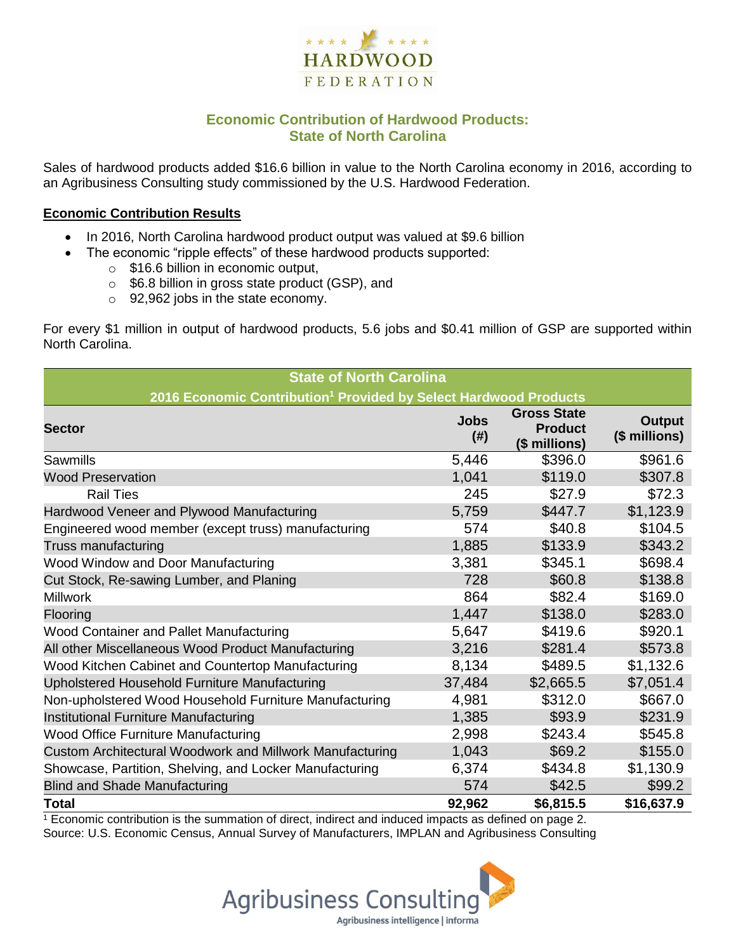

## **Economic Contribution of Hardwood Products: State of North Carolina**

Sales of hardwood products added \$16.6 billion in value to the North Carolina economy in 2016, according to an Agribusiness Consulting study commissioned by the U.S. Hardwood Federation.

#### **Economic Contribution Results**

- In 2016, North Carolina hardwood product output was valued at \$9.6 billion
- The economic "ripple effects" of these hardwood products supported:
	- o \$16.6 billion in economic output,
	- o \$6.8 billion in gross state product (GSP), and
	- o 92,962 jobs in the state economy.

For every \$1 million in output of hardwood products, 5.6 jobs and \$0.41 million of GSP are supported within North Carolina.

| <b>State of North Carolina</b>                                               |                     |                                                       |                                |  |  |  |
|------------------------------------------------------------------------------|---------------------|-------------------------------------------------------|--------------------------------|--|--|--|
| 2016 Economic Contribution <sup>1</sup> Provided by Select Hardwood Products |                     |                                                       |                                |  |  |  |
| <b>Sector</b>                                                                | <b>Jobs</b><br>(# ) | <b>Gross State</b><br><b>Product</b><br>(\$ millions) | <b>Output</b><br>(\$ millions) |  |  |  |
| Sawmills                                                                     | 5,446               | \$396.0                                               | \$961.6                        |  |  |  |
| <b>Wood Preservation</b>                                                     | 1,041               | \$119.0                                               | \$307.8                        |  |  |  |
| <b>Rail Ties</b>                                                             | 245                 | \$27.9                                                | \$72.3                         |  |  |  |
| Hardwood Veneer and Plywood Manufacturing                                    | 5,759               | \$447.7                                               | \$1,123.9                      |  |  |  |
| Engineered wood member (except truss) manufacturing                          | 574                 | \$40.8                                                | \$104.5                        |  |  |  |
| Truss manufacturing                                                          | 1,885               | \$133.9                                               | \$343.2                        |  |  |  |
| Wood Window and Door Manufacturing                                           | 3,381               | \$345.1                                               | \$698.4                        |  |  |  |
| Cut Stock, Re-sawing Lumber, and Planing                                     | 728                 | \$60.8                                                | \$138.8                        |  |  |  |
| <b>Millwork</b>                                                              | 864                 | \$82.4                                                | \$169.0                        |  |  |  |
| Flooring                                                                     | 1,447               | \$138.0                                               | \$283.0                        |  |  |  |
| Wood Container and Pallet Manufacturing                                      | 5,647               | \$419.6                                               | \$920.1                        |  |  |  |
| All other Miscellaneous Wood Product Manufacturing                           | 3,216               | \$281.4                                               | \$573.8                        |  |  |  |
| Wood Kitchen Cabinet and Countertop Manufacturing                            | 8,134               | \$489.5                                               | \$1,132.6                      |  |  |  |
| Upholstered Household Furniture Manufacturing                                | 37,484              | \$2,665.5                                             | \$7,051.4                      |  |  |  |
| Non-upholstered Wood Household Furniture Manufacturing                       | 4,981               | \$312.0                                               | \$667.0                        |  |  |  |
| Institutional Furniture Manufacturing                                        | 1,385               | \$93.9                                                | \$231.9                        |  |  |  |
| <b>Wood Office Furniture Manufacturing</b>                                   | 2,998               | \$243.4                                               | \$545.8                        |  |  |  |
| Custom Architectural Woodwork and Millwork Manufacturing                     | 1,043               | \$69.2                                                | \$155.0                        |  |  |  |
| Showcase, Partition, Shelving, and Locker Manufacturing                      | 6,374               | \$434.8                                               | \$1,130.9                      |  |  |  |
| <b>Blind and Shade Manufacturing</b>                                         | 574                 | \$42.5                                                | \$99.2                         |  |  |  |
| Total                                                                        | 92,962              | \$6,815.5                                             | \$16,637.9                     |  |  |  |

 $1$  Economic contribution is the summation of direct, indirect and induced impacts as defined on page 2. Source: U.S. Economic Census, Annual Survey of Manufacturers, IMPLAN and Agribusiness Consulting